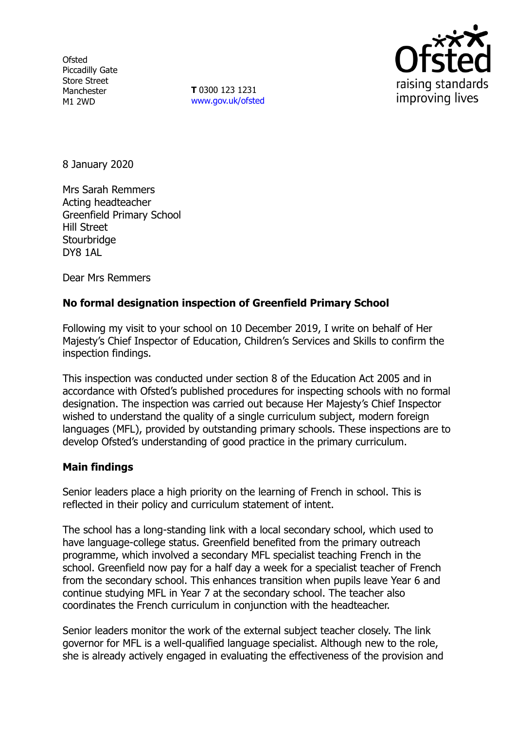**Ofsted** Piccadilly Gate Store Street Manchester M1 2WD

**T** 0300 123 1231 www.gov.uk/ofsted



8 January 2020

Mrs Sarah Remmers Acting headteacher Greenfield Primary School Hill Street **Stourbridge** DY8 1AL

Dear Mrs Remmers

## **No formal designation inspection of Greenfield Primary School**

Following my visit to your school on 10 December 2019, I write on behalf of Her Majesty's Chief Inspector of Education, Children's Services and Skills to confirm the inspection findings.

This inspection was conducted under section 8 of the Education Act 2005 and in accordance with Ofsted's published procedures for inspecting schools with no formal designation. The inspection was carried out because Her Majesty's Chief Inspector wished to understand the quality of a single curriculum subject, modern foreign languages (MFL), provided by outstanding primary schools. These inspections are to develop Ofsted's understanding of good practice in the primary curriculum.

#### **Main findings**

Senior leaders place a high priority on the learning of French in school. This is reflected in their policy and curriculum statement of intent.

The school has a long-standing link with a local secondary school, which used to have language-college status. Greenfield benefited from the primary outreach programme, which involved a secondary MFL specialist teaching French in the school. Greenfield now pay for a half day a week for a specialist teacher of French from the secondary school. This enhances transition when pupils leave Year 6 and continue studying MFL in Year 7 at the secondary school. The teacher also coordinates the French curriculum in conjunction with the headteacher.

Senior leaders monitor the work of the external subject teacher closely. The link governor for MFL is a well-qualified language specialist. Although new to the role, she is already actively engaged in evaluating the effectiveness of the provision and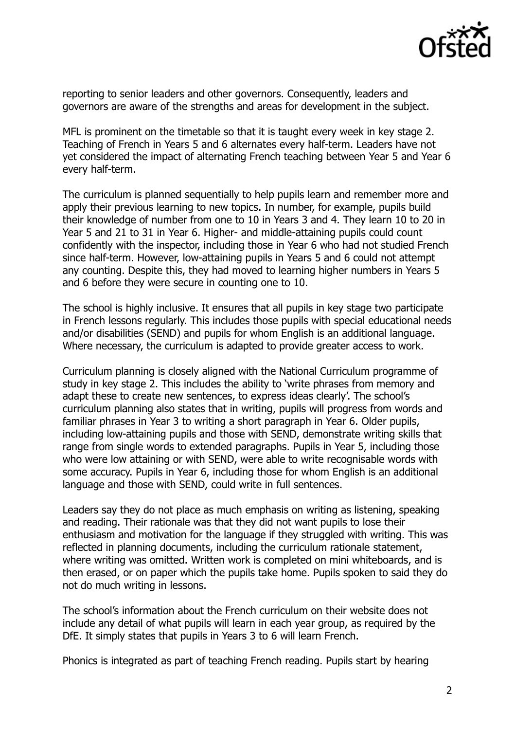

reporting to senior leaders and other governors. Consequently, leaders and governors are aware of the strengths and areas for development in the subject.

MFL is prominent on the timetable so that it is taught every week in key stage 2. Teaching of French in Years 5 and 6 alternates every half-term. Leaders have not yet considered the impact of alternating French teaching between Year 5 and Year 6 every half-term.

The curriculum is planned sequentially to help pupils learn and remember more and apply their previous learning to new topics. In number, for example, pupils build their knowledge of number from one to 10 in Years 3 and 4. They learn 10 to 20 in Year 5 and 21 to 31 in Year 6. Higher- and middle-attaining pupils could count confidently with the inspector, including those in Year 6 who had not studied French since half-term. However, low-attaining pupils in Years 5 and 6 could not attempt any counting. Despite this, they had moved to learning higher numbers in Years 5 and 6 before they were secure in counting one to 10.

The school is highly inclusive. It ensures that all pupils in key stage two participate in French lessons regularly. This includes those pupils with special educational needs and/or disabilities (SEND) and pupils for whom English is an additional language. Where necessary, the curriculum is adapted to provide greater access to work.

Curriculum planning is closely aligned with the National Curriculum programme of study in key stage 2. This includes the ability to 'write phrases from memory and adapt these to create new sentences, to express ideas clearly'. The school's curriculum planning also states that in writing, pupils will progress from words and familiar phrases in Year 3 to writing a short paragraph in Year 6. Older pupils, including low-attaining pupils and those with SEND, demonstrate writing skills that range from single words to extended paragraphs. Pupils in Year 5, including those who were low attaining or with SEND, were able to write recognisable words with some accuracy. Pupils in Year 6, including those for whom English is an additional language and those with SEND, could write in full sentences.

Leaders say they do not place as much emphasis on writing as listening, speaking and reading. Their rationale was that they did not want pupils to lose their enthusiasm and motivation for the language if they struggled with writing. This was reflected in planning documents, including the curriculum rationale statement, where writing was omitted. Written work is completed on mini whiteboards, and is then erased, or on paper which the pupils take home. Pupils spoken to said they do not do much writing in lessons.

The school's information about the French curriculum on their website does not include any detail of what pupils will learn in each year group, as required by the DfE. It simply states that pupils in Years 3 to 6 will learn French.

Phonics is integrated as part of teaching French reading. Pupils start by hearing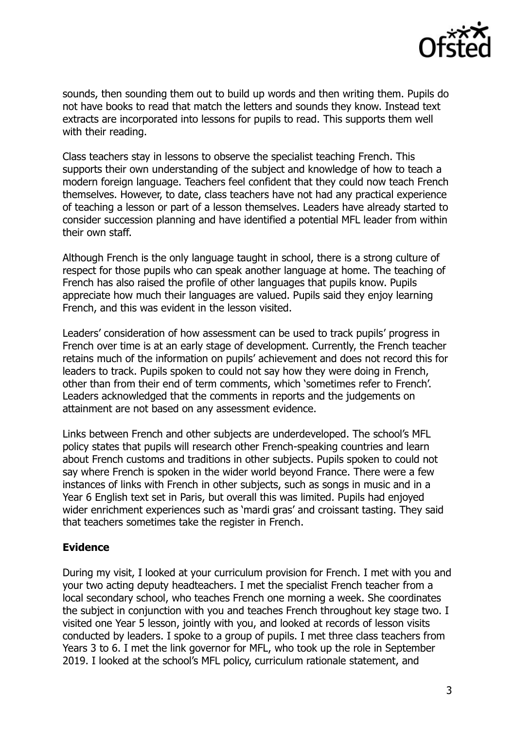

sounds, then sounding them out to build up words and then writing them. Pupils do not have books to read that match the letters and sounds they know. Instead text extracts are incorporated into lessons for pupils to read. This supports them well with their reading.

Class teachers stay in lessons to observe the specialist teaching French. This supports their own understanding of the subject and knowledge of how to teach a modern foreign language. Teachers feel confident that they could now teach French themselves. However, to date, class teachers have not had any practical experience of teaching a lesson or part of a lesson themselves. Leaders have already started to consider succession planning and have identified a potential MFL leader from within their own staff.

Although French is the only language taught in school, there is a strong culture of respect for those pupils who can speak another language at home. The teaching of French has also raised the profile of other languages that pupils know. Pupils appreciate how much their languages are valued. Pupils said they enjoy learning French, and this was evident in the lesson visited.

Leaders' consideration of how assessment can be used to track pupils' progress in French over time is at an early stage of development. Currently, the French teacher retains much of the information on pupils' achievement and does not record this for leaders to track. Pupils spoken to could not say how they were doing in French, other than from their end of term comments, which 'sometimes refer to French'. Leaders acknowledged that the comments in reports and the judgements on attainment are not based on any assessment evidence.

Links between French and other subjects are underdeveloped. The school's MFL policy states that pupils will research other French-speaking countries and learn about French customs and traditions in other subjects. Pupils spoken to could not say where French is spoken in the wider world beyond France. There were a few instances of links with French in other subjects, such as songs in music and in a Year 6 English text set in Paris, but overall this was limited. Pupils had enjoyed wider enrichment experiences such as 'mardi gras' and croissant tasting. They said that teachers sometimes take the register in French.

### **Evidence**

During my visit, I looked at your curriculum provision for French. I met with you and your two acting deputy headteachers. I met the specialist French teacher from a local secondary school, who teaches French one morning a week. She coordinates the subject in conjunction with you and teaches French throughout key stage two. I visited one Year 5 lesson, jointly with you, and looked at records of lesson visits conducted by leaders. I spoke to a group of pupils. I met three class teachers from Years 3 to 6. I met the link governor for MFL, who took up the role in September 2019. I looked at the school's MFL policy, curriculum rationale statement, and